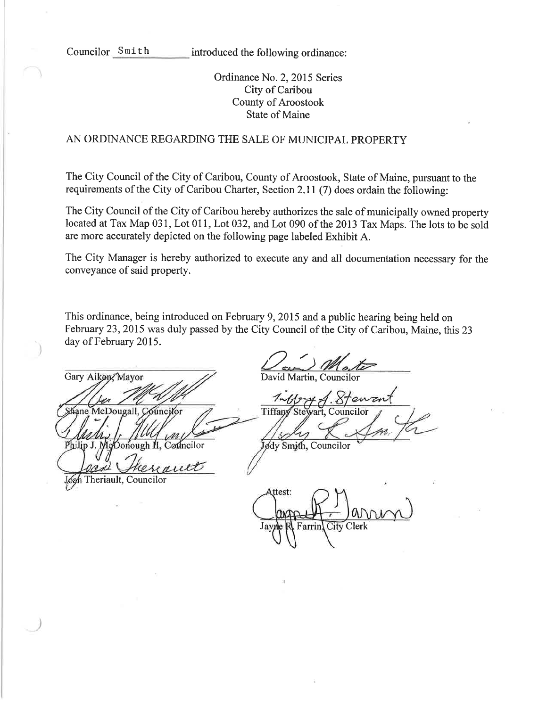Councilor Smith introduced the following ordinance:

Ordinance No. 2, 2015 Series City of Caribou County of Aroostook State of Maine

# AN ORDINANCE REGARDING THE SALE OF MUNICIPAL PROPERTY

The City Council of the City of Caribou, County of Aroostook, State of Maine, pursuant to the requirements of the City of Caribou Charter, Section 2.ll (7) does ordain the following:

The City Council of the City of Caribou hereby authorizes the sale of municipally owned property located at Tax Map 031, Lot 011, Lot 032, and Lot 090 of the 2013 Tax Maps. The lots to be sold are more accurately depicted on the following page labeled Exhibit A.

The City Manager is hereby authorized to execute any and all documentation necessary for the conveyance of said property.

This ordinance, being introduced on February 9, 2015 and a public hearing being held on February 23,2015 was duly passed by the City Council of the City of Caribou, Maine, this 23 day of February 2015.

Gary Aiken, Mayor Shane McDougall, Councilor Philip J. Donough II

auet resi

Lógh Theriault, Councilor

 $D_{\text{out}}$ 

David Martin, Councilor

Tiffa Councilof

Councilor Jødy Smith, Councilor

Attest: Farrin, City Clerk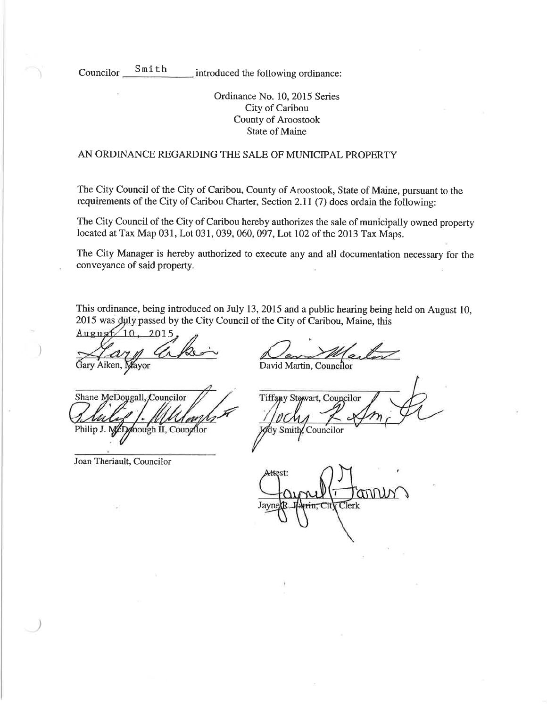Councilor Smith

introduced the following ordinance:

Ordinance No. 10, 2015 Series City of Caribou County of Aroostook State of Maine

### AN ORDINANCE REGARDING THE SALE OF MUNICIPAL PROPERTY

The City Council of the City of Caribou, County of Aroostook, State of Maine, pursuant to the requirements of the City of Caribou Charter, Section 2.ll (7) does ordain the following:

The City Council of the City of Caribou hereby authorizes the sale of municipally owned property located at Tax Map 031, Lot 031, 039, 060, 097, Lot 102 of the 2013 Tax Maps.

The City Manager is hereby authorized to execute any and all documentation necessary for the conveyance of said property.

This ordinance, being introduced on July 13,2015 and a public hearing being hetd on August 10, 2015 was duly passed by the City Council of the City of Caribou, Maine, this

August  $10.2015$ 

Gary Aiken, Mayor **David Martin, Council**or

Shane McDoygall, Councilor .f Philip J. McDonough II, Councilor Joseph July Councilor

Joan Theriault, Councilor

Tiffany Stewart, Councilor

Attest: ann Clerk J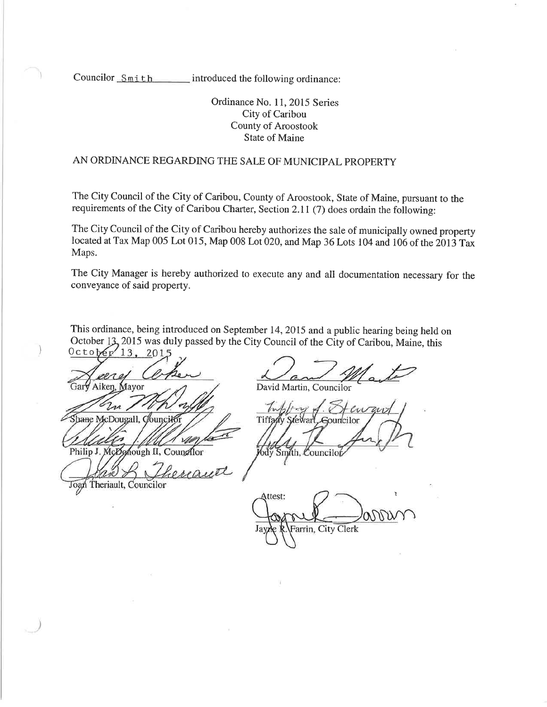Councilor  $Smith$  introduced the following ordinance:

Ordinance No. 11, 2015 Series City of Caribou County of Aroostook State of Maine

# AN ORDINANCE REGARDING THE SALE OF MUNICIPAL PROPERTY

The City Council of the City of Caribou, County of Aroostook, State of Maine, pursuant to the requirements of the City of Caribou Charter, Section 2.ll (7) does ordain the following:

The City Council of the City of Caribou hereby authorizes the sale of municipally owned property located at Tax Map 005 Lot 015, Map 008 Lot 020, and Map 36 Lots 104 and 106 of the 2013 Tax Maps.

The City Manager is hereby authorized to execute any and all documentation necessary for the conveyance of said property.

This ordinance, being introduced on september 14,2015 and a public hearing being held on October 13, 2015 was duly passed by the City Council of the City of Caribou, Maine, this  $0 \text{ c to } \text{per}^2$  13, 2015

 $2010$ Aiken, Mayor

Zn Shane McDougall, Councilor

David Martin, Councilor

ouncilor 6dy Smith, Councilo

Philip J. McDonough II, Councilor hereauth Joan Theriault, Councilor

ì Attest: Farrin, City Clerk J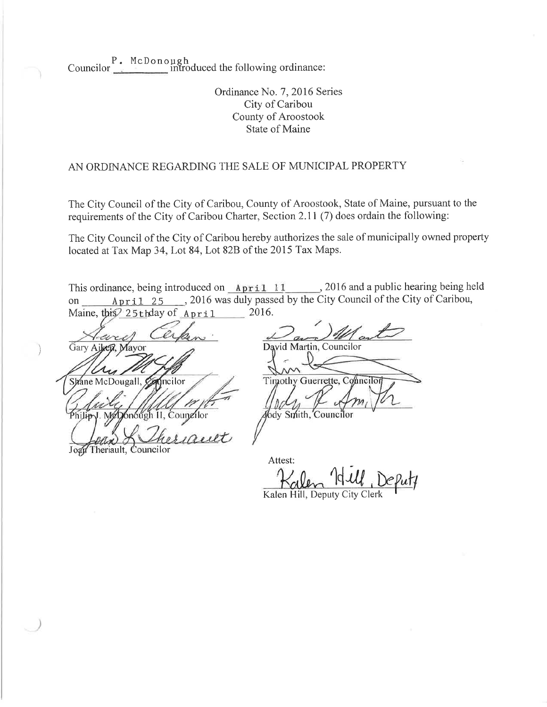P. McDono Councilor  $\frac{1}{\sqrt{2\pi}}$  introduced the following ordinance:

> Ordinance No. 7, 2016 Series City of Caribou County of Aroostook State of Maine

### AN ORDINANCE REGARDING THE SALE OF MUNICIPAL PROPERTY

The City Council of the City of Caribou, County of Aroostook, State of Maine, pursuant to the requirements of the City of Caribou Charter, Section 2.11  $(7)$  does ordain the following:

The City Council of the City of Caribou hereby authorizes the sale of municipally owned property located at Tax Map 34, Lot 84, Lot 828 of the 2015 Tax Maps.

This ordinance, being introduced on  $Apri1$  11, 2016 and a public hearing being held on April 25 , 2016 was duly passed by the City Council of the City of Caribou, Maine, this 25 the April 2016. Maine, this  $25$  chday of April

ww Gary Aiken, Mayor McDougall, Conneilor

Jogy Theriault, Councilor

David Martin, Councilor Timothy Guerrette, Conneilor or Afody Smith

Attest: 19 M

Kalen Hill, Deputy City Clerk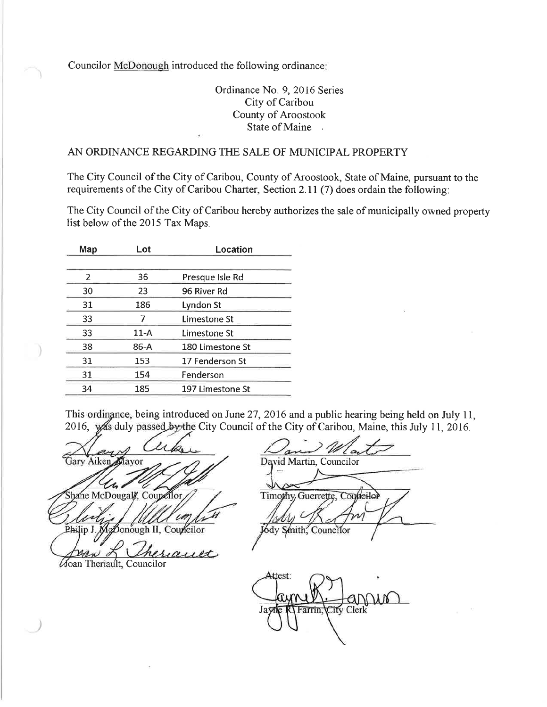Councilor McDonough introduced the following ordinance

# Ordinance No. 9, 2016 Series City of Caribou County of Aroostook State of Maine .

## AN ORDINANCE REGARDING THE SALE OF MLINICIPAL PROPERTY

The City Council of the City of Caribou, County of Aroostook, State of Maine, pursuant to the requirements of the City of Caribou Charter, Section 2.ll (7) does ordain the following:

The City Council of the City of Caribou hereby authorizes the sale of municipally owned property list below of the 2015 Tax Maps.

| Lot    | Location         |  |
|--------|------------------|--|
|        |                  |  |
| 36     | Presque Isle Rd  |  |
| 23     | 96 River Rd      |  |
| 186    | Lyndon St        |  |
|        | Limestone St     |  |
| $11-A$ | Limestone St     |  |
| 86-A   | 180 Limestone St |  |
| 153    | 17 Fenderson St  |  |
| 154    | Fenderson        |  |
| 185    | 197 Limestone St |  |
|        |                  |  |

This ordinance, being introduced on June 27, 2016 and a public hearing being held on July 11, 2016, was duly passed by the City Council of the City of Caribou, Maine, this July 11, 2016.

 $a_{1}$ Gary Aiken Mayor  $\boldsymbol{\mathcal{A}}$ 

Shane McDougal/, Coupellor J. MgDonough II,

heriauet

**Moan Theriault**, Councilor

> W David Martin, Councilor Timothy Guerrette, Councilor Jódy Smith, Councilor

Attest: Farrin, ity Clerk J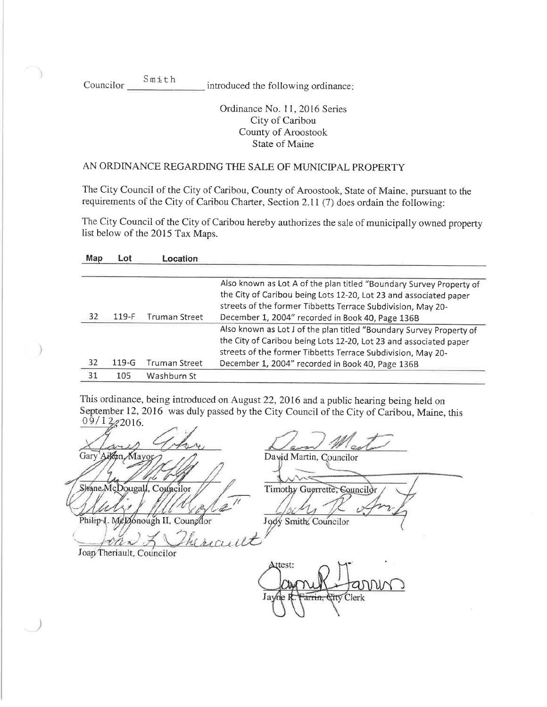Councilor Smi th introduced the following ordinance

# Ordinance No. 11, 2016 Series City of Caribou County of Aroostook State of Maine

# AN ORDINANCE REGARDING THE SALE OF MUNICIPAL PROPERTY

The City Council of the City of Caribou, County of Aroostook, State of Maine, pursuant to the requirements of the City of Caribou Charter, Section 2.II (7) does ordain the following:

The City Council of the City of Caribou hereby authorizes the sale of municipaliy owned property list below of the 2QI5 Tax Maps.

| Map | Lot       | Location      |                                                                                                                                  |
|-----|-----------|---------------|----------------------------------------------------------------------------------------------------------------------------------|
|     |           |               | Also known as Lot A of the plan titled "Boundary Survey Property of                                                              |
|     |           |               | the City of Caribou being Lots 12-20, Lot 23 and associated paper<br>streets of the former Tibbetts Terrace Subdivision, May 20- |
| 32  | $119-F$   | Truman Street | December 1, 2004" recorded in Book 40, Page 136B                                                                                 |
|     |           |               | Also known as Lot J of the plan titled "Boundary Survey Property of                                                              |
|     |           |               | the City of Caribou being Lots 12-20, Lot 23 and associated paper                                                                |
|     |           |               | streets of the former Tibbetts Terrace Subdivision, May 20-                                                                      |
| 32  | $119 - G$ | Truman Street | December 1, 2004" recorded in Book 40, Page 136B                                                                                 |
| 31  | 105       | Washburn St   |                                                                                                                                  |

This ordinance, being introduced on August 22,2016 and a public hearing being held on September 12, 2016 was duly passed by the City Council of the City of Caribou, Maine, this  $09/1222016$ .

wiss Gary Ailen Mayor David Martin, Councilor Shane, McDougall, Conneilor Timothy Guerrette, Councilor Philip J. MeDonough II, Counghor Jody Smith, Councilor

Joan Theriault, Councilor

Attest: Clerk J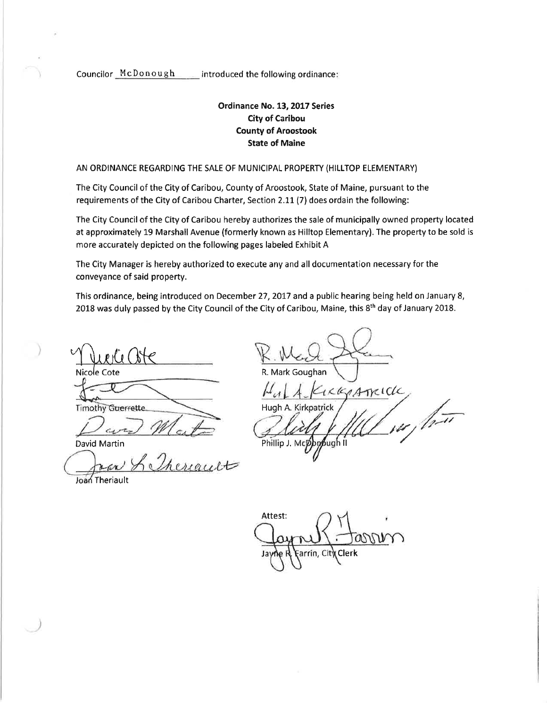Councilor McDonough introduced the following ordinance:

# Ordinance No. 13,2017 Series City of Caribou County of Aroostook State of Maine

AN ORDINANCE REGARDING THE SALE OF MUNICIPAL PROPERTY (HILLTOP ELEMENTARY)

The City Council of the City of Caríbou, County of Aroostook, State of Maine, pursuant to the requirements of the City of Caribou Charter, Section 2.11 (7) does ordain the following:

The City Council of the City of Caribou hereby authorizes the sale of municipally owned property located at approximately 19 Marshall Avenue (formerly known as Hilltop Elementary). The property to be sold is more accurately depicted on the following pages labeled Exhibit A

The City Manager is hereby authorized to execute any and all documentation necessary for the conveyance of said property.

This ordinance, being introduced on December 27,2077 and a public hearing being held on January 8, 2018 was duly passed by the City Council of the City of Caribou, Maine, this 8th day of January 2018.

Muerciate Nicole Cote

**Timothy Guerrette** 

David Martin

 $G_{L}$ 

R. Mark Goughan Hugh A. Phillip J, Mc<sub>k</sub>  $/ \bar{t}$ ICKAATKICK ,<br>|U ] il

Joan Theriault

Attest:  $\omega$ w arrin. Cit\ Clerk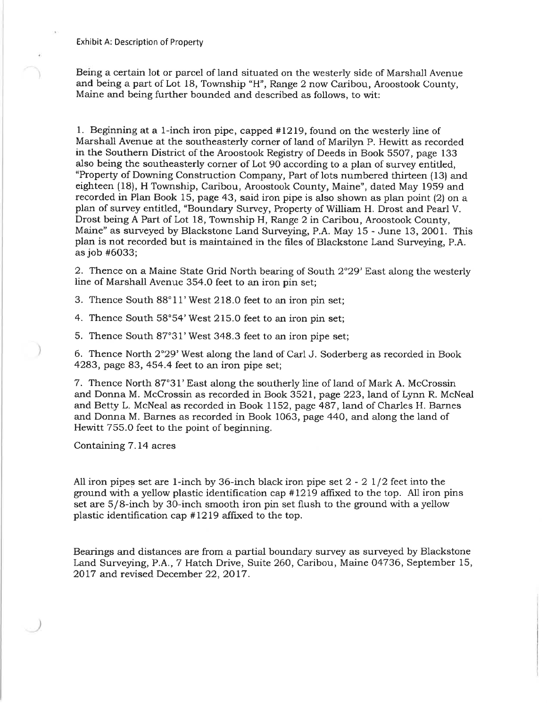Being a certain lot or parcel of land situated on the westerly side of Marshall Avenue and being a part of Lot 18, Township "H", Range 2 now Caribou, Aroostook County, Maine and being further bounded and described as follows, to wit:

1. Beginning at a l-inch iron pipe, capped #1219, found on the westerly line of Marshall Avenue at the southeasterly corner of land of Marilyn P. Hewitt as recorded in the Southern District of the Aroostook Registry of Deeds in Book 5507, page 133 also being the southeasterly corner of Lot 90 according to a plan of survey entitled, "Property of Downing Construction Company, Part of lots numbered thirteen (13) and eighteen (18), H Township, Caribou, Aroostook County, Maine", dated May 1959 and recorded in Plan Book 15, page 43, said iron pipe is also shown as plan point (2) on a plan of survey entitled, "Boundary Survey, Property of William H. Drost and Pearl V. Drost being A Part of Lot 18, Township H, Range 2 in Caribou, Aroostook County, Maine" as surveyed by Blackstone Land Surveying, P.A. May 15 - June 13, 2001. This plan is not recorded but is maintained in the files of Blackstone Land Surveying, P.A. as job #6O33;

2. Thence on a Maine State Grid North bearing of South  $2^{\circ}29'$  East along the westerly line of Marshall Avenue 354.0 feet to an iron pin set;

3. Thence South 88°11' West 218.0 feet to an iron pin set;

4. Thence South 58°54' West 215.0 feet to an iron pin set;

5. Thence South 87"31'West 348.3 feet to an iron pipe set;

6. Thence North 2°29' West along the land of Carl J. Soderberg as recorded in Book 4283, page 83, 454,4 feet to an iron pipe set;

7. Thence North 87°31' East along the southerly line of land of Mark A. McCrossin and Donna M. McCrossin as recorded in Book 3521, page 223, land of Lynn R. McNeal and Betty L. McNeal as recorded in Book 1152, page 487, land of Charles H. Barnes and Donna M. Barnes as recorded in Book 1063, page 440, and along the land of Hewitt 755.0 feet to the point of beginning.

Containing 7.14 acres

All iron pipes set are 1-inch by 36-inch black iron pipe set  $2 - 2 \frac{1}{2}$  feet into the ground with a yellow plastic identification cap  $#1219$  affixed to the top. All iron pins set are S/8-inch by 3O-inch smooth iron pin set flush to the ground with a yellow plastic identification cap #L279 affrxed to the top.

Bearings and distances are from a partial boundary survey as surveyed by Blackstone Land Surveying, P.A., 7 Hatch Drive, Suite 260, Caribou, Maine 04736, September 15, 2017 and revised December 22, 2017.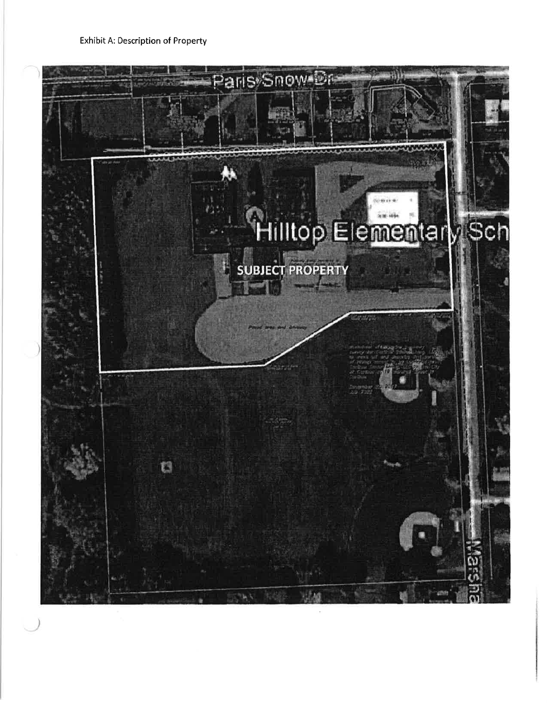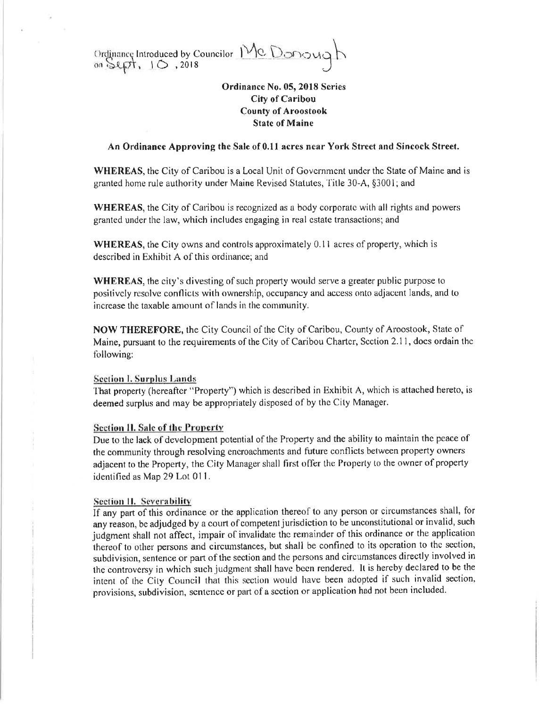Ordinance Introduced by Councilor Mc Donough

# Ordinance No. 05, 2018 Series **City of Caribou County of Aroostook State of Maine**

### An Ordinance Approving the Sale of 0.11 acres near York Street and Sincock Street.

WHEREAS, the City of Caribou is a Local Unit of Government under the State of Maine and is granted home rule authority under Maine Revised Statutes, Title 30-A, §3001; and

**WHEREAS**, the City of Caribou is recognized as a body corporate with all rights and powers granted under the law, which includes engaging in real estate transactions; and

**WHEREAS**, the City owns and controls approximately 0.11 acres of property, which is described in Exhibit A of this ordinance; and

**WHEREAS**, the city's divesting of such property would serve a greater public purpose to positively resolve conflicts with ownership, occupancy and access onto adjacent lands, and to increase the taxable amount of lands in the community.

NOW THEREFORE, the City Council of the City of Caribou, County of Aroostook, State of Maine, pursuant to the requirements of the City of Caribou Charter, Section 2.11, does ordain the following:

#### **Section I. Surplus Lands**

That property (hereafter "Property") which is described in Exhibit A, which is attached hereto, is deemed surplus and may be appropriately disposed of by the City Manager.

#### **Section II. Sale of the Property**

Due to the lack of development potential of the Property and the ability to maintain the peace of the community through resolving encroachments and future conflicts between property owners adjacent to the Property, the City Manager shall first offer the Property to the owner of property identified as Map 29 Lot 011.

### **Section II. Severability**

If any part of this ordinance or the application thereof to any person or circumstances shall, for any reason, be adjudged by a court of competent jurisdiction to be unconstitutional or invalid, such judgment shall not affect, impair of invalidate the remainder of this ordinance or the application thereof to other persons and circumstances, but shall be confined to its operation to the section, subdivision, sentence or part of the section and the persons and circumstances directly involved in the controversy in which such judgment shall have been rendered. It is hereby declared to be the intent of the City Council that this section would have been adopted if such invalid section, provisions, subdivision, sentence or part of a section or application had not been included.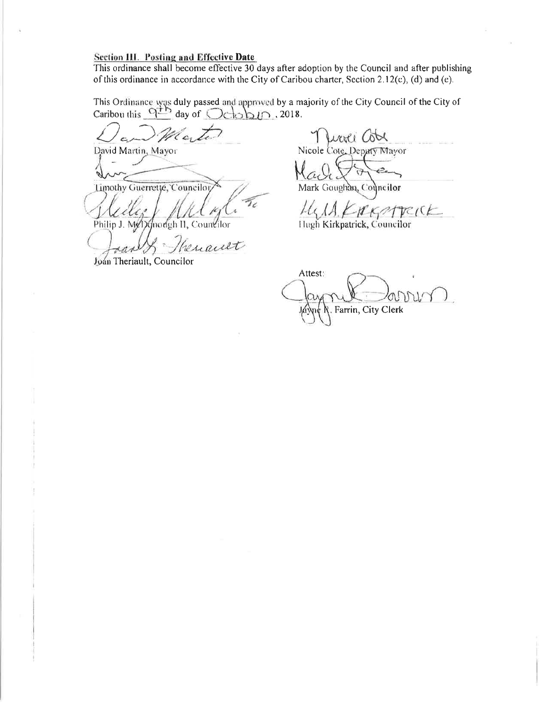# **Section III. Posting and Effective Date**

This ordinance shall become effective 30 days after adoption by the Council and after publishing of this ordinance in accordance with the City of Caribou charter, Section 2.12(c), (d) and (e).

This Ordinance was duly passed and approved by a majority of the City Council of the City of Caribou this  $\frac{Q^{11}}{4}$  day of  $\bigcirc$   $\bigcirc$   $\bigcirc$   $\bigcirc$  2018.

David Martin, Mayor

Limothy Guerrette, Councilor

Philip J. My 1) (mongh II, Countilor

renauet

Joan Theriault, Councilor

woli Col Nicole Cote, Deputy Mayor

Mark Goughan, Councilor

 $H_{\mathcal{A}}$   $H_{\mathcal{B}}$   $H_{\mathcal{B}}$   $H_{\mathcal{C}}$   $H_{\mathcal{C}}$  (C  $H_{\text{Iugh Kirk}}$  Kirkpatrick, Councilor

Attest: Farrin, City Clerk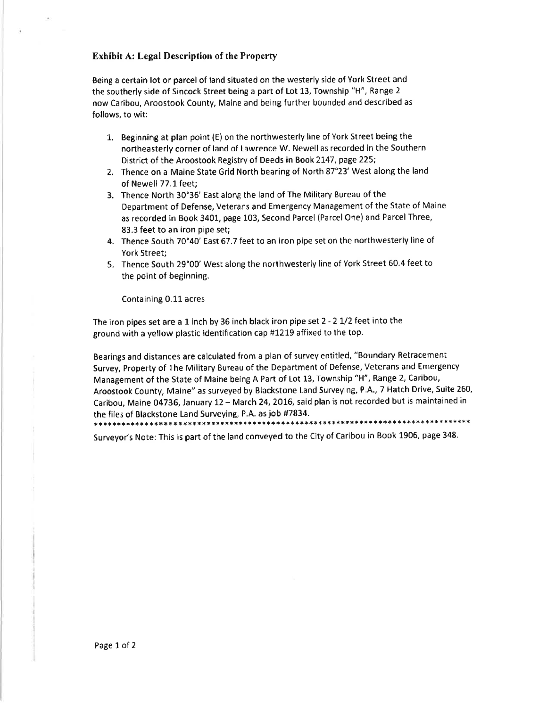#### Exhibit A: Legal Description of the Property

Being a certain lot or parcel of land situated on the westerly side of York Street and the southerly side of Sincock Street being a part of Lot 13, Township "H", Range <sup>2</sup> now Caribou, Aroostook County, Maine and being further bounded and described as follows, to wit:

- L. Beginning at plan point (E) on the northwesterly line of York Street being the northeasterly corner of land of Lawrence W. Newell as recorded in the Southern District of the Aroostook Registry of Deeds in Book 2147, page 225;
- 2, Thence on a Maine State Grid North bearing of North 87"23' West along the land of Newell 77.1 feet:
- 3. Thence North 30°36' East along the land of The Military Bureau of the Department of Defense, Veterans and Emergency Management of the State of Maine as recorded in Book 3401, page 103, Second Parcel (Parcel One) and Parcel Three, 83.3 feet to an iron pipe set;
- 4. Thence South 70'40' East 67.7 feet to an iron pipe set on the northwesterly line of York Street;
- 5. Thence South 29"00' West along the northwesterly line of York Street 60,4 feet to the point of beginning.

Containíng 0,11acres

The iron pipes set are a I inch by 36 inch black iron pipe set 2 - 2 L/2 feet into the ground with a yellow plastic identification cap #1219 affixed to the top.

Bearings and distances are calculated from a plan of survey entitled, "Boundary Retracement Survey, Property of The Military Bureau of the Department of Defense, Veterans and Emergency Management of the State of Maine being A Part of Lot 13, Township "H", Range 2, Caribou, Aroostook County, Maine" as surveyed by Blackstone Land Surveying, P,A.,7 Hatch Drive, Suite 260, Caribou, Maine 04736, January 12 - March 24, 2016, said plan is not recorded but is maintained in the files of Blackstone Land Surveying, P.A. as job #7834. \*\*\*\*\*\*\*\*\*\*\*\*\*\*\*\*

,\*\*\*\*\*\*\*\*\*\*\*\*\*\*\*\*\*\*\*\*\*\*\*\*\*\*\*\*\* Surveyor's Note: This is part of the land conveyed to the City of Caribou in Book 1906, page 348.